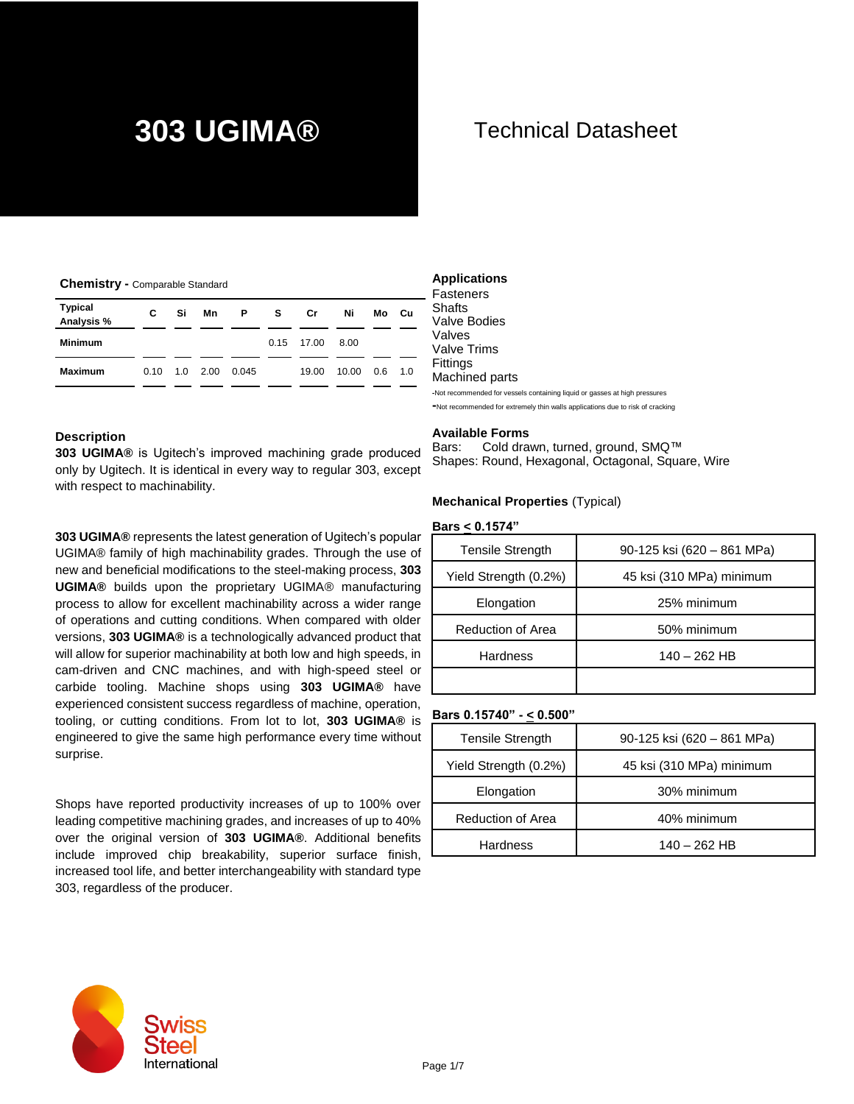#### **Chemistry -** Comparable Standard

| Typical<br>Analysis % | C    | Si       | Mn | P     | S. | Cr           | Ni    | Mo  | - Cu |
|-----------------------|------|----------|----|-------|----|--------------|-------|-----|------|
| <b>Minimum</b>        |      |          |    |       |    | $0.15$ 17.00 | 8.00  |     |      |
| <b>Maximum</b>        | 0.10 | 1.0 2.00 |    | 0.045 |    | 19.00        | 10.00 | 0.6 | 1.0  |

#### **Description**

**303 UGIMA®** is Ugitech's improved machining grade produced only by Ugitech. It is identical in every way to regular 303, except with respect to machinability.

**303 UGIMA®** represents the latest generation of Ugitech's popular UGIMA® family of high machinability grades. Through the use of new and beneficial modifications to the steel-making process, **303 UGIMA®** builds upon the proprietary UGIMA® manufacturing process to allow for excellent machinability across a wider range of operations and cutting conditions. When compared with older versions, **303 UGIMA®** is a technologically advanced product that will allow for superior machinability at both low and high speeds, in cam-driven and CNC machines, and with high-speed steel or carbide tooling. Machine shops using **303 UGIMA®** have experienced consistent success regardless of machine, operation, tooling, or cutting conditions. From lot to lot, **303 UGIMA®** is engineered to give the same high performance every time without surprise.

Shops have reported productivity increases of up to 100% over leading competitive machining grades, and increases of up to 40% over the original version of **303 UGIMA®**. Additional benefits include improved chip breakability, superior surface finish, increased tool life, and better interchangeability with standard type 303, regardless of the producer.

### **Applications**

Fasteners **Shafts** Valve Bodies Valves Valve Trims Fittings Machined parts

**-**Not recommended for vessels containing liquid or gasses at high pressures **-**Not recommended for extremely thin walls applications due to risk of cracking

#### **Available Forms**

Bars: Cold drawn, turned, ground, SMQ™ Shapes: Round, Hexagonal, Octagonal, Square, Wire

#### **Mechanical Properties** (Typical)

#### **Bars < 0.1574"**

| <b>Tensile Strength</b> | 90-125 ksi (620 – 861 MPa) |
|-------------------------|----------------------------|
| Yield Strength (0.2%)   | 45 ksi (310 MPa) minimum   |
| Elongation              | 25% minimum                |
| Reduction of Area       | 50% minimum                |
| Hardness                | 140 - 262 HB               |
|                         |                            |

#### **Bars 0.15740" - < 0.500"**

| Tensile Strength         | 90-125 ksi (620 – 861 MPa) |
|--------------------------|----------------------------|
| Yield Strength (0.2%)    | 45 ksi (310 MPa) minimum   |
| Elongation               | 30% minimum                |
| <b>Reduction of Area</b> | 40% minimum                |
| Hardness                 | 140 - 262 HB               |

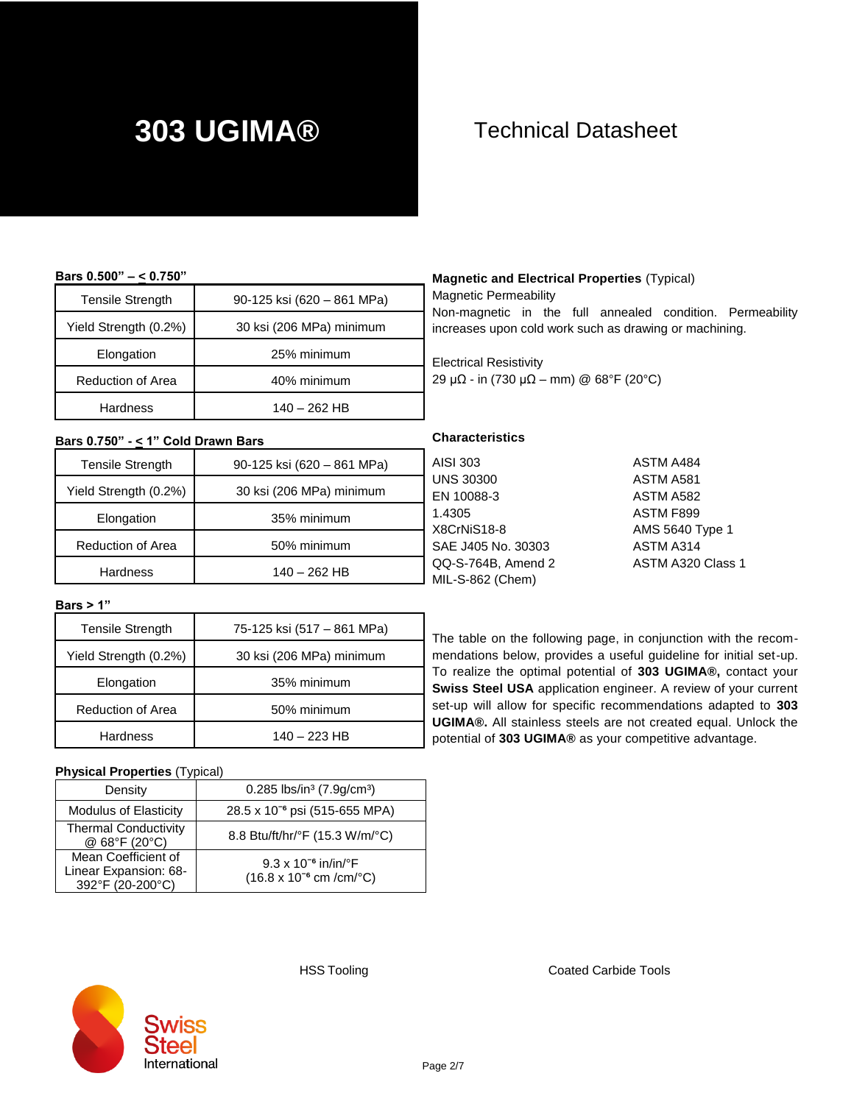#### **Bars 0.500" – < 0.750"**

| <b>Tensile Strength</b>  | 90-125 ksi (620 – 861 MPa) |
|--------------------------|----------------------------|
| Yield Strength (0.2%)    | 30 ksi (206 MPa) minimum   |
| Elongation               | 25% minimum                |
| <b>Reduction of Area</b> | 40% minimum                |
| <b>Hardness</b>          | $140 - 262$ HB             |

#### **Bars 0.750" - < 1" Cold Drawn Bars**

| <b>Tensile Strength</b> | 90-125 ksi (620 - 861 MPa) | А       |
|-------------------------|----------------------------|---------|
| Yield Strength (0.2%)   | 30 ksi (206 MPa) minimum   | U<br>F  |
| Elongation              | 35% minimum                | 1.<br>X |
| Reduction of Area       | 50% minimum                | S.      |
| <b>Hardness</b>         | $140 - 262$ HB             | Q<br>M  |

### **Magnetic and Electrical Properties** (Typical)

Magnetic Permeability

Non-magnetic in the full annealed condition. Permeability increases upon cold work such as drawing or machining.

Electrical Resistivity 29 μΩ - in (730 μΩ – mm) @ 68°F (20°C)

#### **Characteristics**

| AISI 303           | ASTM A484         |
|--------------------|-------------------|
| UNS 30300          | ASTM A581         |
| EN 10088-3         | ASTM A582         |
| 1.4305             | ASTM F899         |
| X8CrNiS18-8        | AMS 5640 Type 1   |
| SAE J405 No. 30303 | ASTM A314         |
| QQ-S-764B, Amend 2 | ASTM A320 Class 1 |
| MIL-S-862 (Chem)   |                   |
|                    |                   |

The table on the following page, in conjunction with the recommendations below, provides a useful guideline for initial set-up. To realize the optimal potential of **303 UGIMA®,** contact your **Swiss Steel USA** application engineer. A review of your current set-up will allow for specific recommendations adapted to **303 UGIMA®.** All stainless steels are not created equal. Unlock the potential of **303 UGIMA®** as your competitive advantage.

#### **Bars > 1"**

| <b>Tensile Strength</b>  | 75-125 ksi (517 – 861 MPa) |
|--------------------------|----------------------------|
| Yield Strength (0.2%)    | 30 ksi (206 MPa) minimum   |
| Elongation               | 35% minimum                |
| <b>Reduction of Area</b> | 50% minimum                |
| <b>Hardness</b>          | 140 - 223 HB               |

#### **Physical Properties** (Typical)

| Density                                                          | 0.285 lbs/in <sup>3</sup> $(7.9g/cm^3)$                                            |
|------------------------------------------------------------------|------------------------------------------------------------------------------------|
| <b>Modulus of Elasticity</b>                                     | 28.5 x 10 <sup>-6</sup> psi (515-655 MPA)                                          |
| <b>Thermal Conductivity</b><br>@ 68°F (20°C)                     | 8.8 Btu/ft/hr/°F (15.3 W/m/°C)                                                     |
| Mean Coefficient of<br>Linear Expansion: 68-<br>392°F (20-200°C) | $9.3 \times 10^{-6}$ in/in/°F<br>$(16.8 \times 10^{-6} \text{ cm/cm} / \text{°C})$ |



HSS Tooling **Coated Carbide Tools**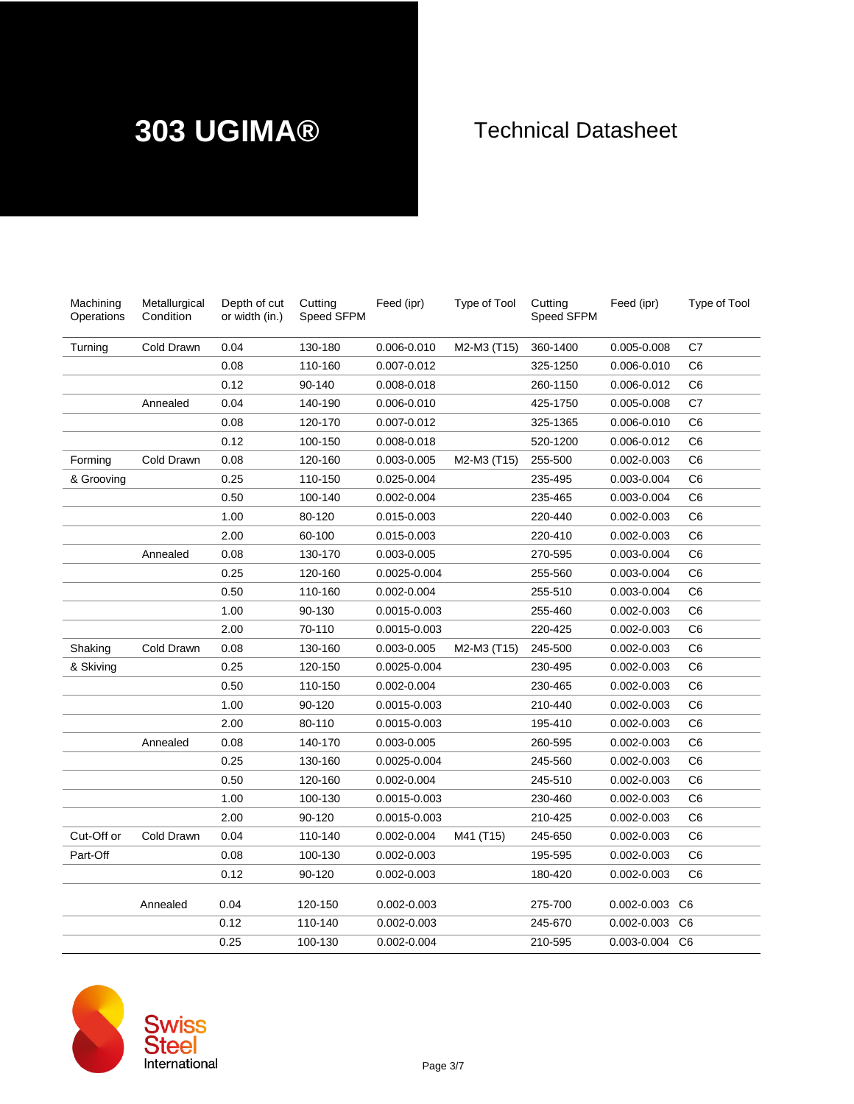| Machining<br>Operations | Metallurgical<br>Condition | Depth of cut<br>or width (in.) | Cutting<br>Speed SFPM | Feed (ipr)      | Type of Tool | Cutting<br><b>Speed SFPM</b> | Feed (ipr)      | Type of Tool   |
|-------------------------|----------------------------|--------------------------------|-----------------------|-----------------|--------------|------------------------------|-----------------|----------------|
| Turning                 | Cold Drawn                 | 0.04                           | 130-180               | 0.006-0.010     | M2-M3 (T15)  | 360-1400                     | 0.005-0.008     | C7             |
|                         |                            | 0.08                           | 110-160               | 0.007-0.012     |              | 325-1250                     | 0.006-0.010     | C6             |
|                         |                            | 0.12                           | 90-140                | $0.008 - 0.018$ |              | 260-1150                     | 0.006-0.012     | C <sub>6</sub> |
|                         | Annealed                   | 0.04                           | 140-190               | 0.006-0.010     |              | 425-1750                     | 0.005-0.008     | C <sub>7</sub> |
|                         |                            | 0.08                           | 120-170               | 0.007-0.012     |              | 325-1365                     | 0.006-0.010     | C6             |
|                         |                            | 0.12                           | 100-150               | $0.008 - 0.018$ |              | 520-1200                     | 0.006-0.012     | C <sub>6</sub> |
| Forming                 | Cold Drawn                 | 0.08                           | 120-160               | 0.003-0.005     | M2-M3 (T15)  | 255-500                      | 0.002-0.003     | C <sub>6</sub> |
| & Grooving              |                            | 0.25                           | 110-150               | 0.025-0.004     |              | 235-495                      | 0.003-0.004     | C <sub>6</sub> |
|                         |                            | 0.50                           | 100-140               | 0.002-0.004     |              | 235-465                      | 0.003-0.004     | C <sub>6</sub> |
|                         |                            | 1.00                           | 80-120                | 0.015-0.003     |              | 220-440                      | 0.002-0.003     | C <sub>6</sub> |
|                         |                            | 2.00                           | 60-100                | 0.015-0.003     |              | 220-410                      | 0.002-0.003     | C6             |
|                         | Annealed                   | 0.08                           | 130-170               | 0.003-0.005     |              | 270-595                      | 0.003-0.004     | C <sub>6</sub> |
|                         |                            | 0.25                           | 120-160               | 0.0025-0.004    |              | 255-560                      | 0.003-0.004     | C <sub>6</sub> |
|                         |                            | 0.50                           | 110-160               | 0.002-0.004     |              | 255-510                      | 0.003-0.004     | C <sub>6</sub> |
|                         |                            | 1.00                           | 90-130                | 0.0015-0.003    |              | 255-460                      | 0.002-0.003     | C <sub>6</sub> |
|                         |                            | 2.00                           | 70-110                | 0.0015-0.003    |              | 220-425                      | 0.002-0.003     | C <sub>6</sub> |
| Shaking                 | Cold Drawn                 | 0.08                           | 130-160               | 0.003-0.005     | M2-M3 (T15)  | 245-500                      | 0.002-0.003     | C <sub>6</sub> |
| & Skiving               |                            | 0.25                           | 120-150               | 0.0025-0.004    |              | 230-495                      | $0.002 - 0.003$ | C <sub>6</sub> |
|                         |                            | 0.50                           | 110-150               | 0.002-0.004     |              | 230-465                      | 0.002-0.003     | C <sub>6</sub> |
|                         |                            | 1.00                           | 90-120                | 0.0015-0.003    |              | 210-440                      | $0.002 - 0.003$ | C6             |
|                         |                            | 2.00                           | 80-110                | 0.0015-0.003    |              | 195-410                      | 0.002-0.003     | C <sub>6</sub> |
|                         | Annealed                   | 0.08                           | 140-170               | 0.003-0.005     |              | 260-595                      | 0.002-0.003     | C <sub>6</sub> |
|                         |                            | 0.25                           | 130-160               | 0.0025-0.004    |              | 245-560                      | $0.002 - 0.003$ | C6             |
|                         |                            | 0.50                           | 120-160               | 0.002-0.004     |              | 245-510                      | 0.002-0.003     | C <sub>6</sub> |
|                         |                            | 1.00                           | 100-130               | 0.0015-0.003    |              | 230-460                      | 0.002-0.003     | C <sub>6</sub> |
|                         |                            | 2.00                           | 90-120                | 0.0015-0.003    |              | 210-425                      | 0.002-0.003     | C6             |
| Cut-Off or              | Cold Drawn                 | 0.04                           | 110-140               | 0.002-0.004     | M41 (T15)    | 245-650                      | 0.002-0.003     | C <sub>6</sub> |
| Part-Off                |                            | 0.08                           | 100-130               | 0.002-0.003     |              | 195-595                      | 0.002-0.003     | C <sub>6</sub> |
|                         |                            | 0.12                           | 90-120                | $0.002 - 0.003$ |              | 180-420                      | $0.002 - 0.003$ | C6             |
|                         | Annealed                   | 0.04                           | 120-150               | 0.002-0.003     |              | 275-700                      | 0.002-0.003 C6  |                |
|                         |                            | 0.12                           | 110-140               | 0.002-0.003     |              | 245-670                      | $0.002 - 0.003$ | C <sub>6</sub> |
|                         |                            | 0.25                           | 100-130               | 0.002-0.004     |              | 210-595                      | 0.003-0.004 C6  |                |

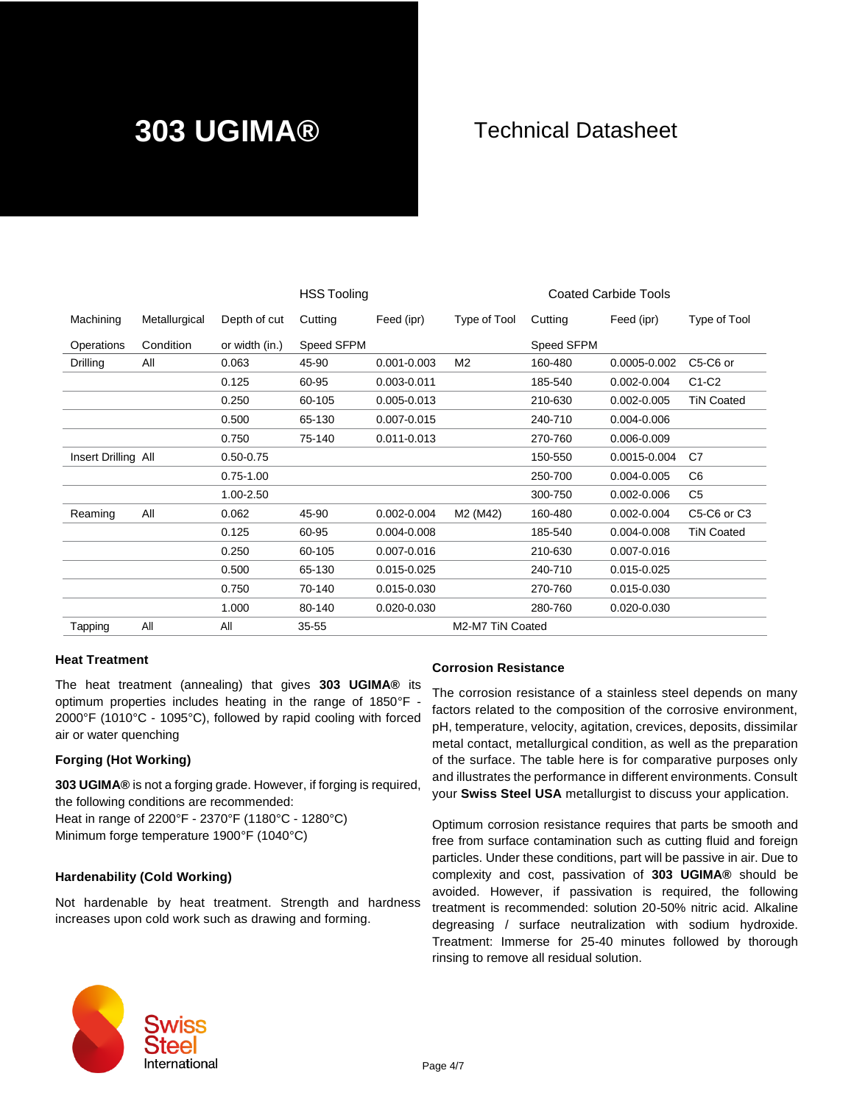|                     |               |                | <b>HSS Tooling</b> |                 |                                   |            | <b>Coated Carbide Tools</b> |                                                  |
|---------------------|---------------|----------------|--------------------|-----------------|-----------------------------------|------------|-----------------------------|--------------------------------------------------|
| Machining           | Metallurgical | Depth of cut   | Cutting            | Feed (ipr)      | Type of Tool                      | Cutting    | Feed (ipr)                  | Type of Tool                                     |
| Operations          | Condition     | or width (in.) | Speed SFPM         |                 |                                   | Speed SFPM |                             |                                                  |
| Drilling            | All           | 0.063          | 45-90              | $0.001 - 0.003$ | M <sub>2</sub>                    | 160-480    | 0.0005-0.002                | C5-C6 or                                         |
|                     |               | 0.125          | 60-95              | 0.003-0.011     |                                   | 185-540    | $0.002 - 0.004$             | $C1-C2$                                          |
|                     |               | 0.250          | 60-105             | 0.005-0.013     |                                   | 210-630    | $0.002 - 0.005$             | <b>TiN Coated</b>                                |
|                     |               | 0.500          | 65-130             | 0.007-0.015     |                                   | 240-710    | 0.004-0.006                 |                                                  |
|                     |               | 0.750          | 75-140             | $0.011 - 0.013$ |                                   | 270-760    | 0.006-0.009                 |                                                  |
| Insert Drilling All |               | $0.50 - 0.75$  |                    |                 |                                   | 150-550    | 0.0015-0.004                | C7                                               |
|                     |               | $0.75 - 1.00$  |                    |                 |                                   | 250-700    | 0.004-0.005                 | C <sub>6</sub>                                   |
|                     |               | 1.00-2.50      |                    |                 |                                   | 300-750    | $0.002 - 0.006$             | C5                                               |
| Reaming             | All           | 0.062          | 45-90              | $0.002 - 0.004$ | M <sub>2</sub> (M <sub>42</sub> ) | 160-480    | $0.002 - 0.004$             | C <sub>5</sub> -C <sub>6</sub> or C <sub>3</sub> |
|                     |               | 0.125          | 60-95              | 0.004-0.008     |                                   | 185-540    | 0.004-0.008                 | <b>TiN Coated</b>                                |
|                     |               | 0.250          | 60-105             | $0.007 - 0.016$ |                                   | 210-630    | $0.007 - 0.016$             |                                                  |
|                     |               | 0.500          | 65-130             | 0.015-0.025     |                                   | 240-710    | 0.015-0.025                 |                                                  |
|                     |               | 0.750          | 70-140             | 0.015-0.030     |                                   | 270-760    | 0.015-0.030                 |                                                  |
|                     |               | 1.000          | 80-140             | $0.020 - 0.030$ |                                   | 280-760    | $0.020 - 0.030$             |                                                  |
| Tapping             | All           | All            | $35 - 55$          |                 | M2-M7 TiN Coated                  |            |                             |                                                  |
|                     |               |                |                    |                 |                                   |            |                             |                                                  |

### **Heat Treatment**

The heat treatment (annealing) that gives **303 UGIMA®** its optimum properties includes heating in the range of 1850°F - 2000°F (1010°C - 1095°C), followed by rapid cooling with forced air or water quenching

#### **Forging (Hot Working)**

**303 UGIMA®** is not a forging grade. However, if forging is required, the following conditions are recommended: Heat in range of 2200°F - 2370°F (1180°C - 1280°C) Minimum forge temperature 1900°F (1040°C)

#### **Hardenability (Cold Working)**

Not hardenable by heat treatment. Strength and hardness increases upon cold work such as drawing and forming.

#### **Corrosion Resistance**

The corrosion resistance of a stainless steel depends on many factors related to the composition of the corrosive environment, pH, temperature, velocity, agitation, crevices, deposits, dissimilar metal contact, metallurgical condition, as well as the preparation of the surface. The table here is for comparative purposes only and illustrates the performance in different environments. Consult your **Swiss Steel USA** metallurgist to discuss your application.

Optimum corrosion resistance requires that parts be smooth and free from surface contamination such as cutting fluid and foreign particles. Under these conditions, part will be passive in air. Due to complexity and cost, passivation of **303 UGIMA®** should be avoided. However, if passivation is required, the following treatment is recommended: solution 20-50% nitric acid. Alkaline degreasing / surface neutralization with sodium hydroxide. Treatment: Immerse for 25-40 minutes followed by thorough rinsing to remove all residual solution.

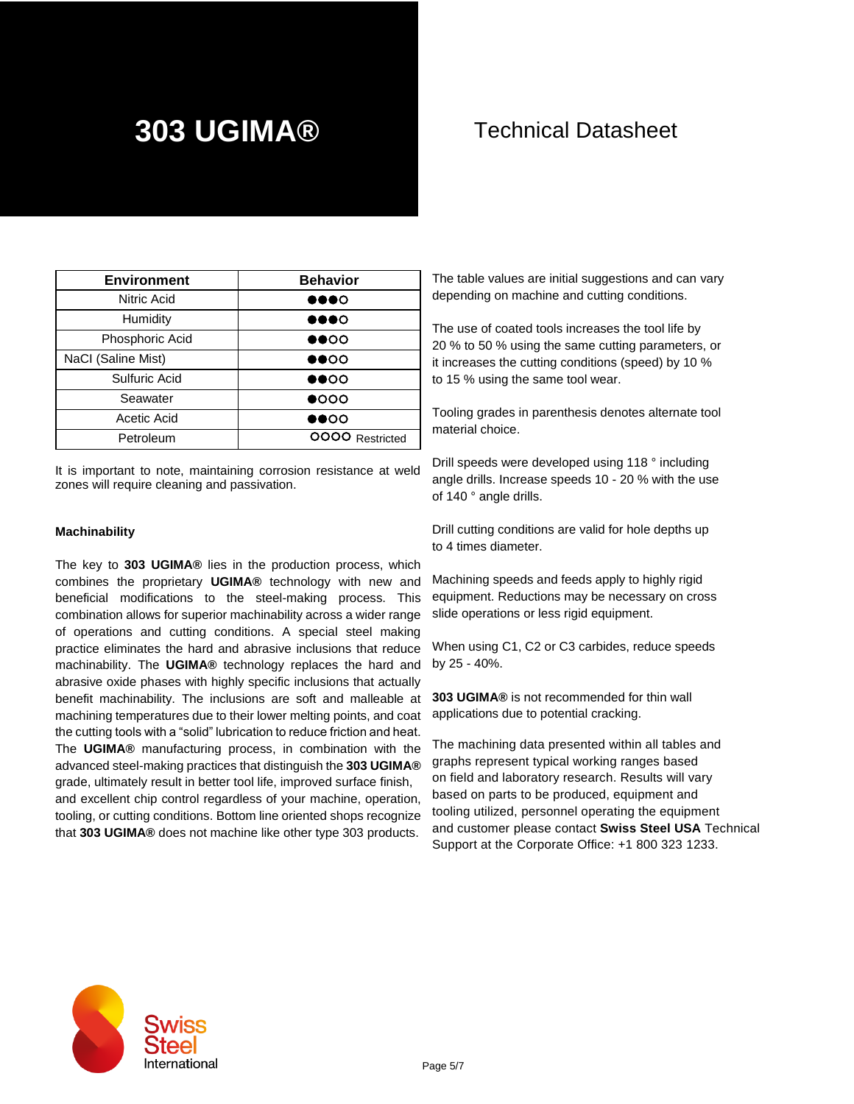| <b>Environment</b> | <b>Behavior</b>              |  |  |  |
|--------------------|------------------------------|--|--|--|
| Nitric Acid        | $\bullet\bullet\bullet\circ$ |  |  |  |
| Humidity           | $\bullet\bullet\bullet\circ$ |  |  |  |
| Phosphoric Acid    | $\bullet\bullet\circ\circ$   |  |  |  |
| NaCI (Saline Mist) | $\bullet\bullet\circ\circ$   |  |  |  |
| Sulfuric Acid      | $\bullet\bullet\circ\circ$   |  |  |  |
| Seawater           | $\bullet$ 000                |  |  |  |
| Acetic Acid        | DOOO                         |  |  |  |
| Petroleum          | OOOO Restricted              |  |  |  |

It is important to note, maintaining corrosion resistance at weld zones will require cleaning and passivation.

#### **Machinability**

The key to **303 UGIMA®** lies in the production process, which combines the proprietary **UGIMA®** technology with new and beneficial modifications to the steel-making process. This combination allows for superior machinability across a wider range of operations and cutting conditions. A special steel making practice eliminates the hard and abrasive inclusions that reduce machinability. The **UGIMA®** technology replaces the hard and abrasive oxide phases with highly specific inclusions that actually benefit machinability. The inclusions are soft and malleable at machining temperatures due to their lower melting points, and coat the cutting tools with a "solid" lubrication to reduce friction and heat. The **UGIMA®** manufacturing process, in combination with the advanced steel-making practices that distinguish the **303 UGIMA®** grade, ultimately result in better tool life, improved surface finish, and excellent chip control regardless of your machine, operation, tooling, or cutting conditions. Bottom line oriented shops recognize that **303 UGIMA®** does not machine like other type 303 products.

The table values are initial suggestions and can vary depending on machine and cutting conditions.

The use of coated tools increases the tool life by 20 % to 50 % using the same cutting parameters, or it increases the cutting conditions (speed) by 10 % to 15 % using the same tool wear.

Tooling grades in parenthesis denotes alternate tool material choice.

Drill speeds were developed using 118 ° including angle drills. Increase speeds 10 - 20 % with the use of 140 ° angle drills.

Drill cutting conditions are valid for hole depths up to 4 times diameter.

Machining speeds and feeds apply to highly rigid equipment. Reductions may be necessary on cross slide operations or less rigid equipment.

When using C1, C2 or C3 carbides, reduce speeds by 25 - 40%.

**303 UGIMA®** is not recommended for thin wall applications due to potential cracking.

The machining data presented within all tables and graphs represent typical working ranges based on field and laboratory research. Results will vary based on parts to be produced, equipment and tooling utilized, personnel operating the equipment and customer please contact **Swiss Steel USA** Technical Support at the Corporate Office: +1 800 323 1233.

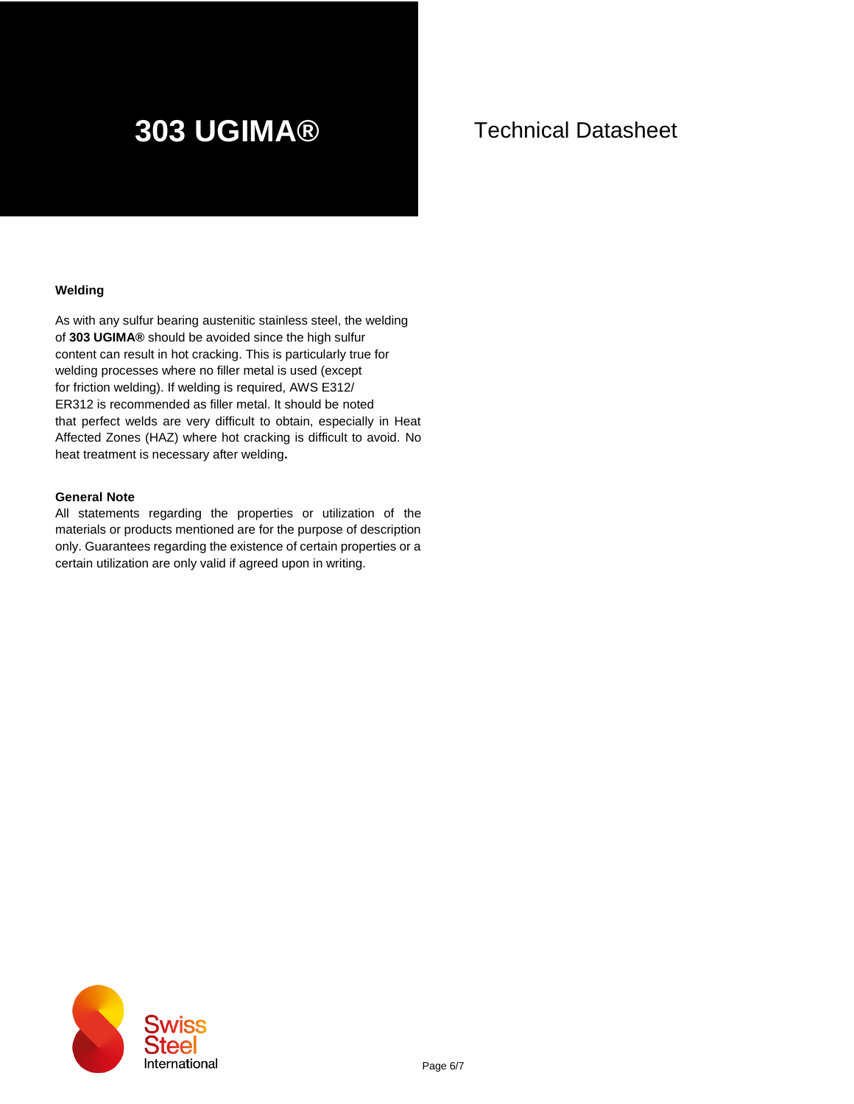#### **Welding**

As with any sulfur bearing austenitic stainless steel, the welding of **303 UGIMA®** should be avoided since the high sulfur content can result in hot cracking. This is particularly true for welding processes where no filler metal is used (except for friction welding). If welding is required, AWS E312/ ER312 is recommended as filler metal. It should be noted that perfect welds are very difficult to obtain, especially in Heat Affected Zones (HAZ) where hot cracking is difficult to avoid. No heat treatment is necessary after welding**.**

#### **General Note**

All statements regarding the properties or utilization of the materials or products mentioned are for the purpose of description only. Guarantees regarding the existence of certain properties or a certain utilization are only valid if agreed upon in writing.